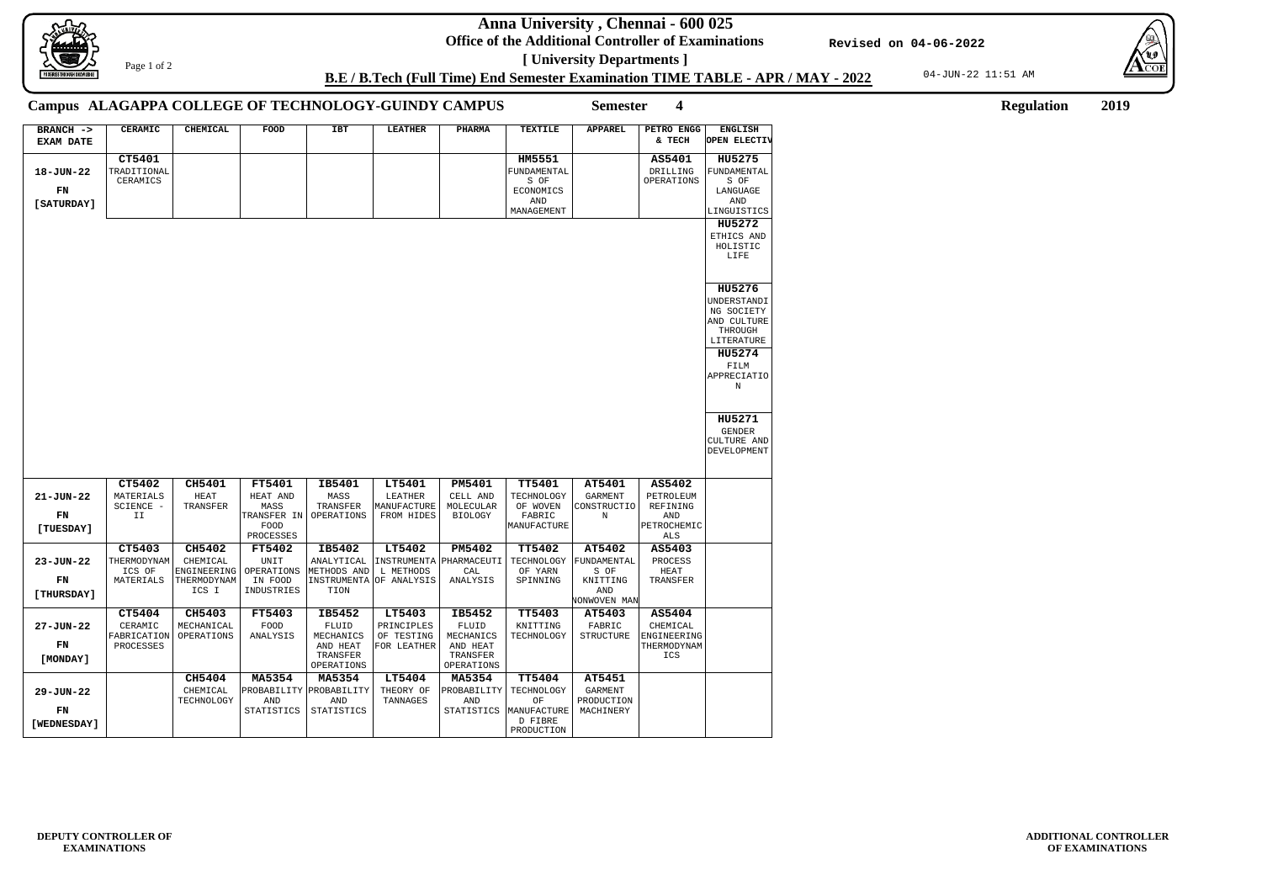**Anna University , Chennai - 600 025**

**Office of the Additional Controller of Examinations [ University Departments ]**

04-JUN-22 11:51 AM





**ADDITIONAL CONTROLLER OF EXAMINATIONS**

**B.E / B.Tech (Full Time) End Semester Examination TIME TABLE - APR / MAY - 2022**

**HU5271** GENDER CULTURE AND **Revised on 04-06-2022**

Page 1 of 2

**Semester 4 Regulation 2019**

**18-JUN-22**

**ENGLISH OPEN ELECTIV**

FUNDAMENTAL S OF LANGUAGE AND **LINGUISTICS** 

**HU5272**

**HU5276**

**HU5274**

| <b>CERAMIC</b> | <b>CHEMICAL</b> | FOOD | IBT | <b>LEATHER</b> | <b>PHARMA</b> | <b>TEXTILE</b> | APPAREL | PETRO ENGG<br>& TECH | <b>ENGLISH</b><br>OPEN ELECT                                |
|----------------|-----------------|------|-----|----------------|---------------|----------------|---------|----------------------|-------------------------------------------------------------|
| <b>CT5401</b>  |                 |      |     |                |               | HM5551         |         | AS5401               | HU5275                                                      |
| ADITIONAL      |                 |      |     |                |               | FUNDAMENTAL    |         | DRILLING             | FUNDAMENT                                                   |
| CERAMICS       |                 |      |     |                |               | S OF           |         | OPERATIONS           | S OF                                                        |
|                |                 |      |     |                |               | ECONOMICS      |         |                      | LANGUAGE                                                    |
|                |                 |      |     |                |               | AND            |         |                      | AND                                                         |
|                |                 |      |     |                |               | MANAGEMENT     |         |                      | LINGUISTI                                                   |
|                |                 |      |     |                |               |                |         |                      | HU5272                                                      |
|                |                 |      |     |                |               |                |         |                      | ETHICS AN<br>HOLISTIC<br>LIFE                               |
|                |                 |      |     |                |               |                |         |                      | HU5276                                                      |
|                |                 |      |     |                |               |                |         |                      | UNDERSTAN<br>NG SOCIET<br>AND CULTU<br>THROUGH<br>LITERATUF |
|                |                 |      |     |                |               |                |         |                      | HU5274                                                      |
|                |                 |      |     |                |               |                |         |                      | FTIM                                                        |

**BRANCH -> EXAM DATE**

## **Campus ALAGAPPA COLLEGE OF TECHNOLOGY-GUINDY CAMPUS**

**[SATURDAY]**

TRADITIONAL CERAMICS

> ETHICS AND HOLISTIC LIFE

UNDERSTANDI NG SOCIETY AND CULTURE THROUGH LITERATURE

FILM

APPRECIATIO N

DEVELOPMENT

|                 | CT5402      | CH5401      | <b>FT5401</b>     | IB5401      | LT5401             | <b>PM5401</b>     | <b>TT5401</b> | AT5401         | AS5402      |
|-----------------|-------------|-------------|-------------------|-------------|--------------------|-------------------|---------------|----------------|-------------|
| $21 - JUN - 22$ | MATERIALS   | <b>HEAT</b> | HEAT AND          | MASS        | LEATHER            | CELL AND          | TECHNOLOGY    | <b>GARMENT</b> | PETROLEUM   |
|                 | SCIENCE -   | TRANSFER    | MASS              | TRANSFER    | MANUFACTURE        | MOLECULAR         | OF WOVEN      | CONSTRUCTIO    | REFINING    |
| FN              | II          |             | TRANSFER<br>IN    | OPERATIONS  | FROM HIDES         | <b>BIOLOGY</b>    | FABRIC        | N              | <b>AND</b>  |
| [TUESDAY]       |             |             | FOOD              |             |                    |                   | MANUFACTURE   |                | PETROCHEMIC |
|                 |             |             | PROCESSES         |             |                    |                   |               |                | <b>ALS</b>  |
|                 | CT5403      | CH5402      | <b>FT5402</b>     | IB5402      | LT5402             | PM5402            | <b>TT5402</b> | AT5402         | AS5403      |
| $23 - JUN - 22$ | THERMODYNAM | CHEMICAL    | <b>UNIT</b>       | ANALYTICAL  | INSTRUMENTA        | PHARMACEUTI       | TECHNOLOGY    | FUNDAMENTAL    | PROCESS     |
|                 | ICS OF      | ENGINEERING | OPERATIONS        | METHODS AND | L METHODS          | <b>CAL</b>        | OF YARN       | S OF           | <b>HEAT</b> |
| FN              | MATERIALS   | THERMODYNAM | IN FOOD           | INSTRUMENTA | . OF ANALYSIS      | ANALYSIS          | SPINNING      | KNITTING       | TRANSFER    |
| [THURSDAY]      |             | ICS I       | INDUSTRIES        | TION        |                    |                   |               | AND            |             |
|                 |             |             |                   |             |                    |                   |               | NONWOVEN MAN   |             |
|                 | CT5404      | CH5403      | <b>FT5403</b>     | IB5452      | LT5403             | IB5452            | <b>TT5403</b> | AT5403         | AS5404      |
| $27 - JUN - 22$ | CERAMIC     | MECHANICAL  | FOOD              | FLUID       | PRINCIPLES         | FLUID             | KNITTING      | FABRIC         | CHEMICAL    |
|                 | FABRICATION | OPERATIONS  | ANALYSIS          | MECHANICS   | OF TESTING         | MECHANICS         | TECHNOLOGY    | STRUCTURE      | ENGINEERING |
| FN              | PROCESSES   |             |                   | AND HEAT    | <b>FOR LEATHER</b> | AND HEAT          |               |                | THERMODYNAM |
| [MONDAY]        |             |             |                   | TRANSFER    |                    | TRANSFER          |               |                | <b>ICS</b>  |
|                 |             |             |                   | OPERATIONS  |                    | OPERATIONS        |               |                |             |
|                 |             | CH5404      | MA5354            | MA5354      | LT5404             | MA5354            | <b>TT5404</b> | AT5451         |             |
| $29 - JUN - 22$ |             | CHEMICAL    | PROBABILITY       | PROBABILITY | THEORY OF          | PROBABILITY       | TECHNOLOGY    | <b>GARMENT</b> |             |
|                 |             | TECHNOLOGY  | AND               | <b>AND</b>  | TANNAGES           | <b>AND</b>        | OF            | PRODUCTION     |             |
| FN              |             |             | <b>STATISTICS</b> | STATISTICS  |                    | <b>STATISTICS</b> | MANUFACTURE   | MACHINERY      |             |
| [WEDNESDAY]     |             |             |                   |             |                    |                   | D FIBRE       |                |             |
|                 |             |             |                   |             |                    |                   | PRODUCTION    |                |             |

**FN**